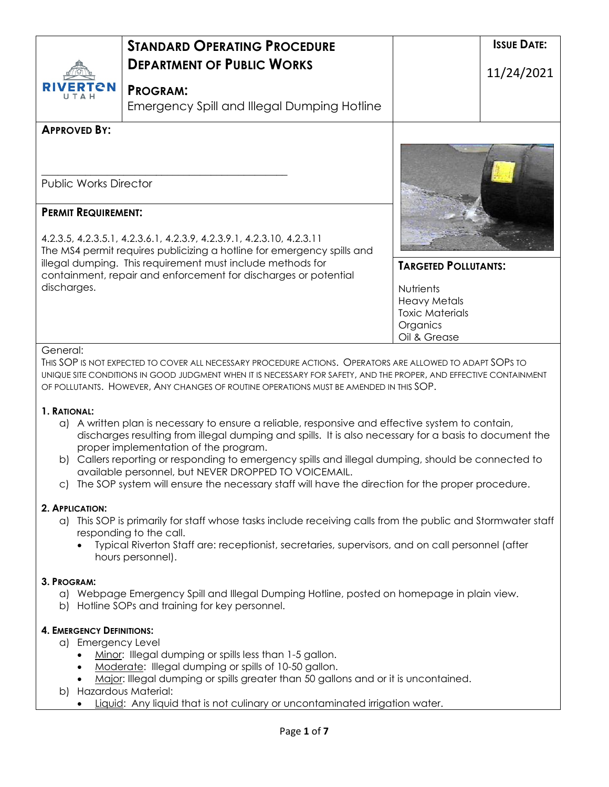| RIVERTEN<br>UTAH                                                                                                                                                                                                                                                                                                                                                                                                                                                                                                                                                                                                                                                                                                                                                                                                                                                                                                                                                                                                                                                                                                                                                            | <b><i>STANDARD OPERATING PROCEDURE</i></b><br><b>DEPARTMENT OF PUBLIC WORKS</b><br><b>PROGRAM:</b><br>Emergency Spill and Illegal Dumping Hotline                                                                                                                                                                                                                                                                                   | <b>ISSUE DATE:</b><br>11/24/2021                                                                                      |  |
|-----------------------------------------------------------------------------------------------------------------------------------------------------------------------------------------------------------------------------------------------------------------------------------------------------------------------------------------------------------------------------------------------------------------------------------------------------------------------------------------------------------------------------------------------------------------------------------------------------------------------------------------------------------------------------------------------------------------------------------------------------------------------------------------------------------------------------------------------------------------------------------------------------------------------------------------------------------------------------------------------------------------------------------------------------------------------------------------------------------------------------------------------------------------------------|-------------------------------------------------------------------------------------------------------------------------------------------------------------------------------------------------------------------------------------------------------------------------------------------------------------------------------------------------------------------------------------------------------------------------------------|-----------------------------------------------------------------------------------------------------------------------|--|
| <b>APPROVED BY:</b><br><b>Public Works Director</b><br><b>PERMIT REQUIREMENT:</b><br>discharges.                                                                                                                                                                                                                                                                                                                                                                                                                                                                                                                                                                                                                                                                                                                                                                                                                                                                                                                                                                                                                                                                            | 4.2.3.5, 4.2.3.5.1, 4.2.3.6.1, 4.2.3.9, 4.2.3.9.1, 4.2.3.10, 4.2.3.11<br>The MS4 permit requires publicizing a hotline for emergency spills and<br>illegal dumping. This requirement must include methods for<br>containment, repair and enforcement for discharges or potential                                                                                                                                                    | <b>TARGETED POLLUTANTS:</b><br>Nutrients<br><b>Heavy Metals</b><br><b>Toxic Materials</b><br>Organics<br>Oil & Grease |  |
| General:<br>THIS SOP IS NOT EXPECTED TO COVER ALL NECESSARY PROCEDURE ACTIONS. OPERATORS ARE ALLOWED TO ADAPT SOPS TO<br>UNIQUE SITE CONDITIONS IN GOOD JUDGMENT WHEN IT IS NECESSARY FOR SAFETY, AND THE PROPER, AND EFFECTIVE CONTAINMENT<br>OF POLLUTANTS. HOWEVER, ANY CHANGES OF ROUTINE OPERATIONS MUST BE AMENDED IN THIS SOP.<br>1. RATIONAL:<br>a) A written plan is necessary to ensure a reliable, responsive and effective system to contain,<br>discharges resulting from illegal dumping and spills. It is also necessary for a basis to document the<br>proper implementation of the program.<br>b) Callers reporting or responding to emergency spills and illegal dumping, should be connected to<br>available personnel, but NEVER DROPPED TO VOICEMAIL.<br>The SOP system will ensure the necessary staff will have the direction for the proper procedure.<br>C).<br>2. APPLICATION:<br>a) This SOP is primarily for staff whose tasks include receiving calls from the public and Stormwater staff<br>responding to the call.<br>Typical Riverton Staff are: receptionist, secretaries, supervisors, and on call personnel (after<br>hours personnel). |                                                                                                                                                                                                                                                                                                                                                                                                                                     |                                                                                                                       |  |
| 3. PROGRAM:<br><b>4. EMERGENCY DEFINITIONS:</b><br>a) Emergency Level<br>b) Hazardous Material:                                                                                                                                                                                                                                                                                                                                                                                                                                                                                                                                                                                                                                                                                                                                                                                                                                                                                                                                                                                                                                                                             | a) Webpage Emergency Spill and Illegal Dumping Hotline, posted on homepage in plain view.<br>b) Hotline SOPs and training for key personnel.<br>Minor: Illegal dumping or spills less than 1-5 gallon.<br>Moderate: Illegal dumping or spills of 10-50 gallon.<br>Major: Illegal dumping or spills greater than 50 gallons and or it is uncontained.<br>Liquid: Any liquid that is not culinary or uncontaminated irrigation water. |                                                                                                                       |  |
|                                                                                                                                                                                                                                                                                                                                                                                                                                                                                                                                                                                                                                                                                                                                                                                                                                                                                                                                                                                                                                                                                                                                                                             | Page 1 of 7                                                                                                                                                                                                                                                                                                                                                                                                                         |                                                                                                                       |  |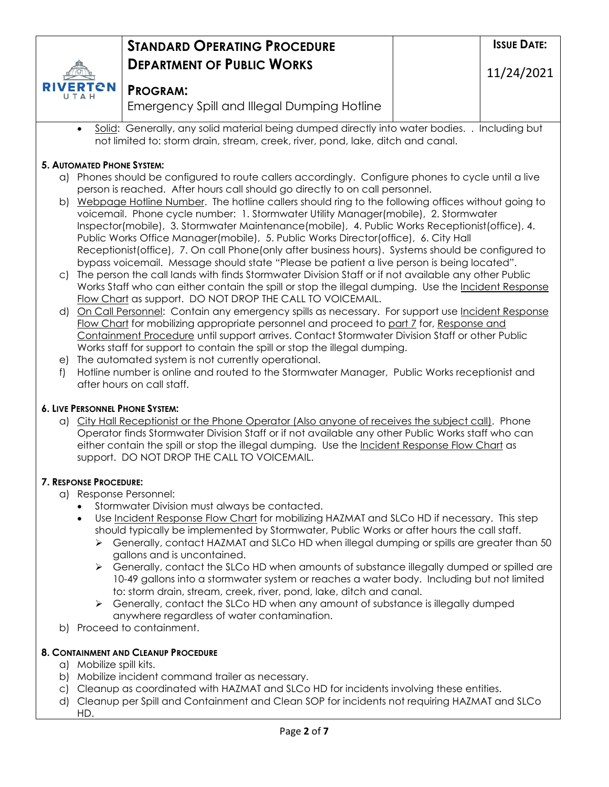|                                    | <b>STANDARD OPERATING PROCEDURE</b>                                                                                                                                              | <b>ISSUE DATE:</b> |
|------------------------------------|----------------------------------------------------------------------------------------------------------------------------------------------------------------------------------|--------------------|
|                                    | <b>DEPARTMENT OF PUBLIC WORKS</b>                                                                                                                                                | 11/24/2021         |
| <b>RIVERTON</b><br><b>II T A H</b> | <b>PROGRAM:</b>                                                                                                                                                                  |                    |
|                                    | Emergency Spill and Illegal Dumping Hotline                                                                                                                                      |                    |
| $\bullet$                          | Solid: Generally, any solid material being dumped directly into water bodies<br>not limited to: storm drain, stream, creek, river, pond, lake, ditch and canal.                  | Including but      |
| <b>5. AUTOMATED PHONE SYSTEM:</b>  |                                                                                                                                                                                  |                    |
| (a                                 | Phones should be configured to route callers accordingly. Configure phones to cycle until a live<br>person is reached. After hours call should go directly to on call personnel. |                    |

- b) Webpage Hotline Number. The hotline callers should ring to the following offices without going to voicemail. Phone cycle number: 1. Stormwater Utility Manager(mobile), 2. Stormwater Inspector(mobile), 3. Stormwater Maintenance(mobile), 4. Public Works Receptionist(office), 4. Public Works Office Manager(mobile), 5. Public Works Director(office), 6. City Hall Receptionist(office), 7. On call Phone(only after business hours). Systems should be configured to bypass voicemail. Message should state "Please be patient a live person is being located".
- c) The person the call lands with finds Stormwater Division Staff or if not available any other Public Works Staff who can either contain the spill or stop the illegal dumping. Use the Incident Response Flow Chart as support. DO NOT DROP THE CALL TO VOICEMAIL.
- d) On Call Personnel: Contain any emergency spills as necessary. For support use Incident Response Flow Chart for mobilizing appropriate personnel and proceed to part 7 for, Response and Containment Procedure until support arrives. Contact Stormwater Division Staff or other Public Works staff for support to contain the spill or stop the illegal dumping.
- e) The automated system is not currently operational.
- f) Hotline number is online and routed to the Stormwater Manager, Public Works receptionist and after hours on call staff.

### **6. LIVE PERSONNEL PHONE SYSTEM:**

a) City Hall Receptionist or the Phone Operator (Also anyone of receives the subject call). Phone Operator finds Stormwater Division Staff or if not available any other Public Works staff who can either contain the spill or stop the illegal dumping. Use the Incident Response Flow Chart as support. DO NOT DROP THE CALL TO VOICEMAIL.

#### **7. RESPONSE PROCEDURE:**

- a) Response Personnel:
	- Stormwater Division must always be contacted.
	- Use Incident Response Flow Chart for mobilizing HAZMAT and SLCo HD if necessary. This step should typically be implemented by Stormwater, Public Works or after hours the call staff.
		- $\triangleright$  Generally, contact HAZMAT and SLCo HD when illegal dumping or spills are greater than 50 gallons and is uncontained.
		- $\triangleright$  Generally, contact the SLCo HD when amounts of substance illegally dumped or spilled are 10-49 gallons into a stormwater system or reaches a water body. Including but not limited to: storm drain, stream, creek, river, pond, lake, ditch and canal.
		- $\triangleright$  Generally, contact the SLCo HD when any amount of substance is illegally dumped anywhere regardless of water contamination.
- b) Proceed to containment.

#### **8. CONTAINMENT AND CLEANUP PROCEDURE**

- a) Mobilize spill kits.
- b) Mobilize incident command trailer as necessary.
- c) Cleanup as coordinated with HAZMAT and SLCo HD for incidents involving these entities.
- d) Cleanup per Spill and Containment and Clean SOP for incidents not requiring HAZMAT and SLCo HD.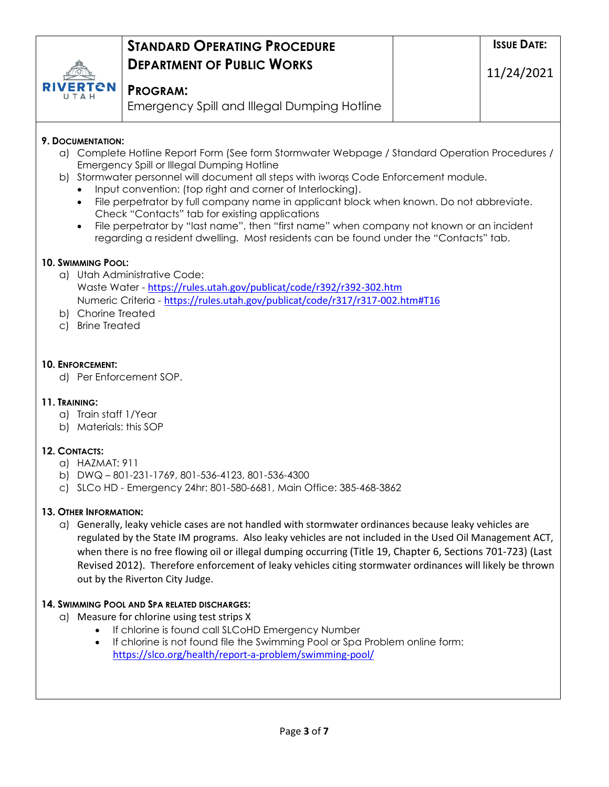|                                                                               | <b>STANDARD OPERATING PROCEDURE</b>                                                                                                                                                                                                                                                                                                                                                                                                                                                                                                                                                                                                | <b>ISSUE DATE:</b> |
|-------------------------------------------------------------------------------|------------------------------------------------------------------------------------------------------------------------------------------------------------------------------------------------------------------------------------------------------------------------------------------------------------------------------------------------------------------------------------------------------------------------------------------------------------------------------------------------------------------------------------------------------------------------------------------------------------------------------------|--------------------|
|                                                                               | <b>DEPARTMENT OF PUBLIC WORKS</b>                                                                                                                                                                                                                                                                                                                                                                                                                                                                                                                                                                                                  | 11/24/2021         |
| СN                                                                            | <b>PROGRAM:</b>                                                                                                                                                                                                                                                                                                                                                                                                                                                                                                                                                                                                                    |                    |
|                                                                               | <b>Emergency Spill and Illegal Dumping Hotline</b>                                                                                                                                                                                                                                                                                                                                                                                                                                                                                                                                                                                 |                    |
| 9. DOCUMENTATION:<br>$\bullet$<br>$\bullet$                                   | a) Complete Hotline Report Form (See form Stormwater Webpage / Standard Operation Procedures /<br>Emergency Spill or Illegal Dumping Hotline<br>b) Stormwater personnel will document all steps with iworgs Code Enforcement module.<br>Input convention: (top right and corner of Interlocking).<br>File perpetrator by full company name in applicant block when known. Do not abbreviate.<br>Check "Contacts" tab for existing applications<br>File perpetrator by "last name", then "first name" when company not known or an incident<br>regarding a resident dwelling. Most residents can be found under the "Contacts" tab. |                    |
| <b>10. SWIMMING POOL:</b><br>b) Chorine Treated<br><b>Brine Treated</b><br>C) | a) Utah Administrative Code:<br>Waste Water - https://rules.utah.gov/publicat/code/r392/r392-302.htm<br>Numeric Criteria - https://rules.utah.gov/publicat/code/r317/r317-002.htm#T16                                                                                                                                                                                                                                                                                                                                                                                                                                              |                    |
| <b>10. ENFORCEMENT:</b>                                                       | d) Per Enforcement SOP.                                                                                                                                                                                                                                                                                                                                                                                                                                                                                                                                                                                                            |                    |
| 11. TRAINING:<br>a) Train staff 1/Year<br>b) Materials: this SOP              |                                                                                                                                                                                                                                                                                                                                                                                                                                                                                                                                                                                                                                    |                    |
| 12. CONTACTS:<br>HAZMAT: 911<br>a)<br>b)<br>$\circ$ )                         | DWQ-801-231-1769, 801-536-4123, 801-536-4300<br>SLCo HD - Emergency 24hr: 801-580-6681, Main Office: 385-468-3862                                                                                                                                                                                                                                                                                                                                                                                                                                                                                                                  |                    |
| 13. OTHER INFORMATION:                                                        | a) Generally, leaky vehicle cases are not handled with stormwater ordinances because leaky vehicles are<br>regulated by the State IM programs. Also leaky vehicles are not included in the Used Oil Management ACT,<br>when there is no free flowing oil or illegal dumping occurring (Title 19, Chapter 6, Sections 701-723) (Last<br>Revised 2012). Therefore enforcement of leaky vehicles citing stormwater ordinances will likely be thrown<br>out by the Riverton City Judge.                                                                                                                                                |                    |
| $\bullet$                                                                     | 14. SWIMMING POOL AND SPA RELATED DISCHARGES:<br>a) Measure for chlorine using test strips X<br>If chlorine is found call SLCoHD Emergency Number<br>If chlorine is not found file the Swimming Pool or Spa Problem online form:<br>https://slco.org/health/report-a-problem/swimming-pool/                                                                                                                                                                                                                                                                                                                                        |                    |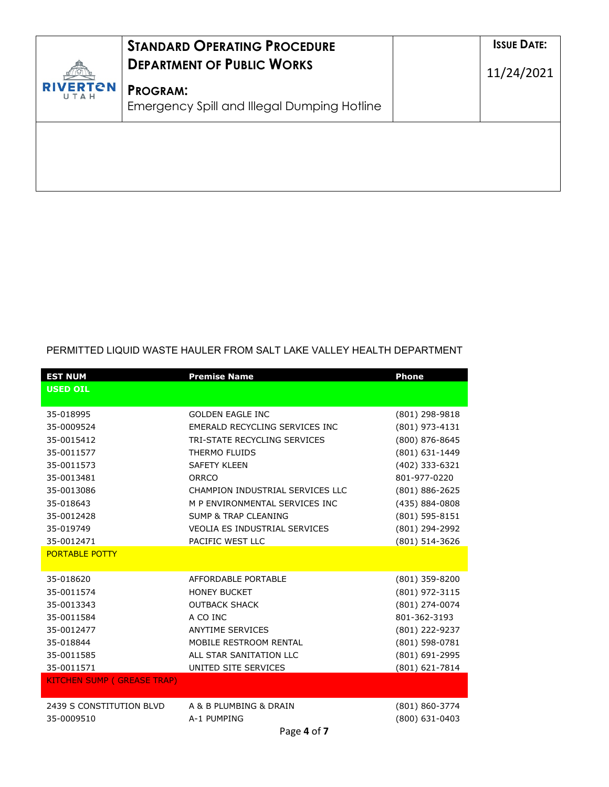| <b>RIVERTON</b><br>UTAH | <b>STANDARD OPERATING PROCEDURE</b><br><b>DEPARTMENT OF PUBLIC WORKS</b> | <b>ISSUE DATE:</b><br>11/24/2021 |
|-------------------------|--------------------------------------------------------------------------|----------------------------------|
|                         | <b>PROGRAM:</b><br><b>Emergency Spill and Illegal Dumping Hotline</b>    |                                  |
|                         |                                                                          |                                  |
|                         |                                                                          |                                  |

## PERMITTED LIQUID WASTE HAULER FROM SALT LAKE VALLEY HEALTH DEPARTMENT

| <b>EST NUM</b>                    | <b>Premise Name</b>                  | <b>Phone</b>   |
|-----------------------------------|--------------------------------------|----------------|
| <b>USED OIL</b>                   |                                      |                |
|                                   |                                      |                |
| 35-018995                         | <b>GOLDEN EAGLE INC</b>              | (801) 298-9818 |
| 35-0009524                        | EMERALD RECYCLING SERVICES INC       | (801) 973-4131 |
| 35-0015412                        | TRI-STATE RECYCLING SERVICES         | (800) 876-8645 |
| 35-0011577                        | THERMO FLUIDS                        | (801) 631-1449 |
| 35-0011573                        | <b>SAFETY KLEEN</b>                  | (402) 333-6321 |
| 35-0013481                        | ORRCO                                | 801-977-0220   |
| 35-0013086                        | CHAMPION INDUSTRIAL SERVICES LLC     | (801) 886-2625 |
| 35-018643                         | M P ENVIRONMENTAL SERVICES INC       | (435) 884-0808 |
| 35-0012428                        | <b>SUMP &amp; TRAP CLEANING</b>      | (801) 595-8151 |
| 35-019749                         | <b>VEOLIA ES INDUSTRIAL SERVICES</b> | (801) 294-2992 |
| 35-0012471                        | PACIFIC WEST LLC                     | (801) 514-3626 |
| <b>PORTABLE POTTY</b>             |                                      |                |
|                                   |                                      |                |
| 35-018620                         | AFFORDABLE PORTABLE                  | (801) 359-8200 |
| 35-0011574                        | <b>HONEY BUCKET</b>                  | (801) 972-3115 |
| 35-0013343                        | <b>OUTBACK SHACK</b>                 | (801) 274-0074 |
| 35-0011584                        | A CO INC                             | 801-362-3193   |
| 35-0012477                        | <b>ANYTIME SERVICES</b>              | (801) 222-9237 |
| 35-018844                         | MOBILE RESTROOM RENTAL               | (801) 598-0781 |
| 35-0011585                        | ALL STAR SANITATION LLC              | (801) 691-2995 |
| 35-0011571                        | UNITED SITE SERVICES                 | (801) 621-7814 |
| <b>KITCHEN SUMP (GREASE TRAP)</b> |                                      |                |
|                                   |                                      |                |
| 2439 S CONSTITUTION BLVD          | A & B PLUMBING & DRAIN               | (801) 860-3774 |
| 35-0009510                        | A-1 PUMPING                          | (800) 631-0403 |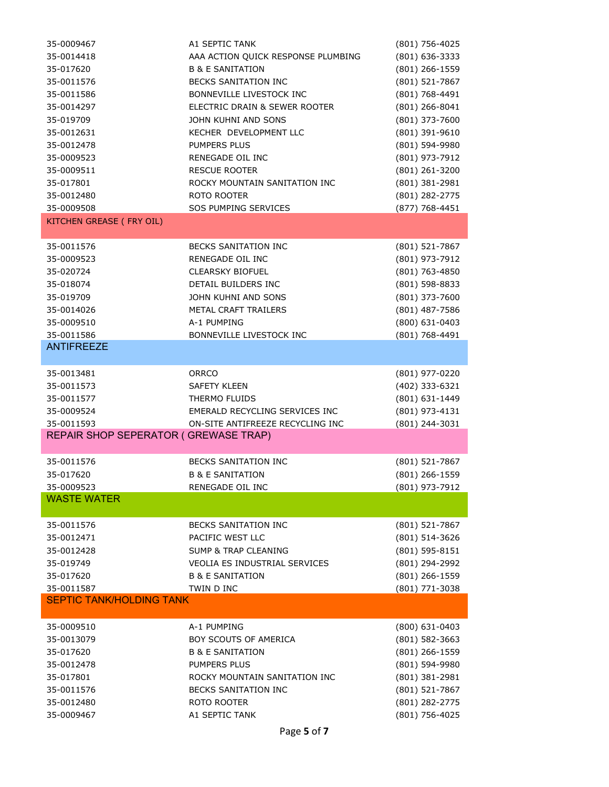| 35-0009467                           | A1 SEPTIC TANK                     | (801) 756-4025     |
|--------------------------------------|------------------------------------|--------------------|
| 35-0014418                           | AAA ACTION QUICK RESPONSE PLUMBING | (801) 636-3333     |
| 35-017620                            | <b>B &amp; E SANITATION</b>        | (801) 266-1559     |
| 35-0011576                           | <b>BECKS SANITATION INC</b>        | (801) 521-7867     |
| 35-0011586                           | BONNEVILLE LIVESTOCK INC           | (801) 768-4491     |
| 35-0014297                           | ELECTRIC DRAIN & SEWER ROOTER      | (801) 266-8041     |
| 35-019709                            | JOHN KUHNI AND SONS                | (801) 373-7600     |
|                                      |                                    |                    |
| 35-0012631                           | KECHER DEVELOPMENT LLC             | (801) 391-9610     |
| 35-0012478                           | <b>PUMPERS PLUS</b>                | (801) 594-9980     |
| 35-0009523                           | <b>RENEGADE OIL INC</b>            | (801) 973-7912     |
| 35-0009511                           | <b>RESCUE ROOTER</b>               | (801) 261-3200     |
| 35-017801                            | ROCKY MOUNTAIN SANITATION INC      | (801) 381-2981     |
| 35-0012480                           | ROTO ROOTER                        | (801) 282-2775     |
| 35-0009508                           | SOS PUMPING SERVICES               | (877) 768-4451     |
| <b>KITCHEN GREASE (FRY OIL)</b>      |                                    |                    |
|                                      |                                    |                    |
| 35-0011576                           | <b>BECKS SANITATION INC</b>        | (801) 521-7867     |
| 35-0009523                           | RENEGADE OIL INC                   | (801) 973-7912     |
| 35-020724                            | <b>CLEARSKY BIOFUEL</b>            | (801) 763-4850     |
| 35-018074                            | DETAIL BUILDERS INC                | (801) 598-8833     |
| 35-019709                            | JOHN KUHNI AND SONS                | (801) 373-7600     |
| 35-0014026                           | METAL CRAFT TRAILERS               | (801) 487-7586     |
| 35-0009510                           | A-1 PUMPING                        | (800) 631-0403     |
| 35-0011586                           | BONNEVILLE LIVESTOCK INC           | (801) 768-4491     |
| <b>ANTIFREEZE</b>                    |                                    |                    |
|                                      |                                    |                    |
| 35-0013481                           | <b>ORRCO</b>                       | (801) 977-0220     |
| 35-0011573                           | <b>SAFETY KLEEN</b>                | (402) 333-6321     |
| 35-0011577                           | THERMO FLUIDS                      | (801) 631-1449     |
| 35-0009524                           | EMERALD RECYCLING SERVICES INC     | (801) 973-4131     |
| 35-0011593                           | ON-SITE ANTIFREEZE RECYCLING INC   | (801) 244-3031     |
| REPAIR SHOP SEPERATOR (GREWASE TRAP) |                                    |                    |
|                                      |                                    |                    |
| 35-0011576                           | <b>BECKS SANITATION INC</b>        | (801) 521-7867     |
| 35-017620                            | <b>B &amp; E SANITATION</b>        | (801) 266-1559     |
| 35-0009523                           | RENEGADE OIL INC                   | (801) 973-7912     |
| <b>WASTE WATER</b>                   |                                    |                    |
|                                      |                                    |                    |
| 35-0011576                           | BECKS SANITATION INC               | (801) 521-7867     |
| 35-0012471                           | PACIFIC WEST LLC                   | (801) 514-3626     |
| 35-0012428                           | <b>SUMP &amp; TRAP CLEANING</b>    | (801) 595-8151     |
| 35-019749                            | VEOLIA ES INDUSTRIAL SERVICES      | (801) 294-2992     |
| 35-017620                            | <b>B &amp; E SANITATION</b>        | (801) 266-1559     |
| 35-0011587                           | TWIN D INC                         | $(801)$ 771-3038   |
| <b>SEPTIC TANK/HOLDING TANK</b>      |                                    |                    |
|                                      |                                    |                    |
| 35-0009510                           | A-1 PUMPING                        | (800) 631-0403     |
| 35-0013079                           | BOY SCOUTS OF AMERICA              | $(801) 582 - 3663$ |
| 35-017620                            | <b>B &amp; E SANITATION</b>        | (801) 266-1559     |
| 35-0012478                           | <b>PUMPERS PLUS</b>                | (801) 594-9980     |
| 35-017801                            | ROCKY MOUNTAIN SANITATION INC      | (801) 381-2981     |
| 35-0011576                           | <b>BECKS SANITATION INC</b>        | (801) 521-7867     |
| 35-0012480                           | ROTO ROOTER                        | (801) 282-2775     |
|                                      |                                    |                    |
| 35-0009467                           | A1 SEPTIC TANK                     | (801) 756-4025     |

Page **5** of **7**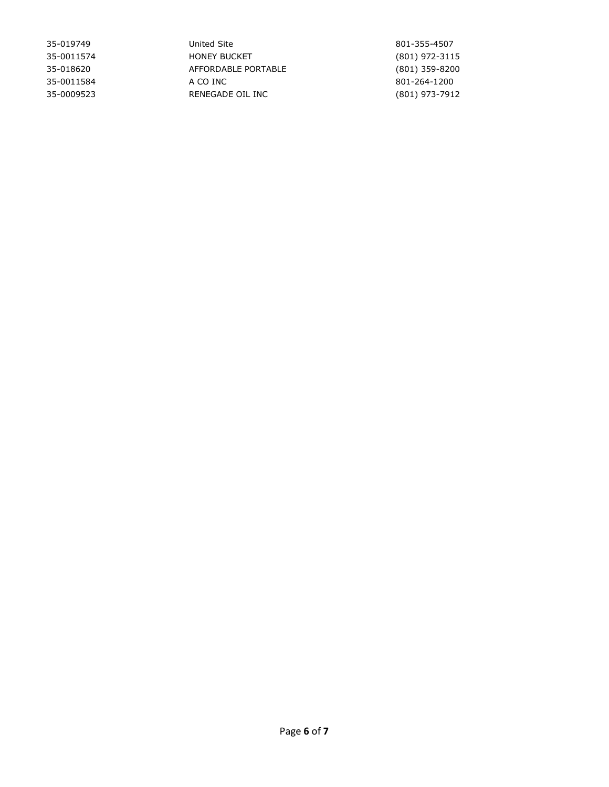| 35-019749  | United Site         | 801-355-4507   |
|------------|---------------------|----------------|
| 35-0011574 | <b>HONEY BUCKET</b> | (801) 972-3115 |
| 35-018620  | AFFORDABLE PORTABLE | (801) 359-8200 |
| 35-0011584 | A CO INC            | 801-264-1200   |
| 35-0009523 | RENEGADE OIL INC    | (801) 973-7912 |